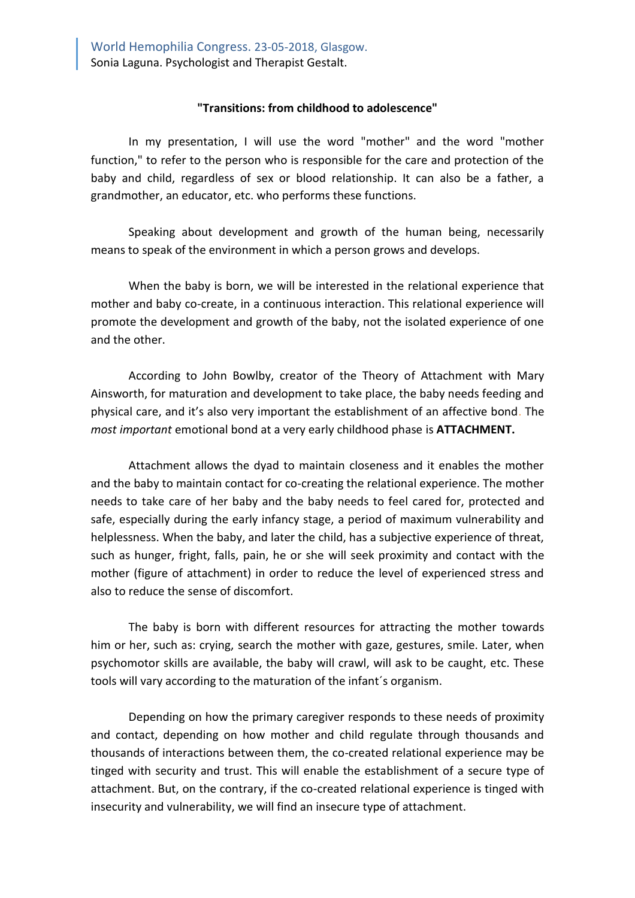## **"Transitions: from childhood to adolescence"**

In my presentation, I will use the word "mother" and the word "mother function," to refer to the person who is responsible for the care and protection of the baby and child, regardless of sex or blood relationship. It can also be a father, a grandmother, an educator, etc. who performs these functions.

Speaking about development and growth of the human being, necessarily means to speak of the environment in which a person grows and develops.

When the baby is born, we will be interested in the relational experience that mother and baby co-create, in a continuous interaction. This relational experience will promote the development and growth of the baby, not the isolated experience of one and the other.

According to John Bowlby, creator of the Theory of Attachment with Mary Ainsworth, for maturation and development to take place, the baby needs feeding and physical care, and it's also very important the establishment of an affective bond. The *most important* emotional bond at a very early childhood phase is **ATTACHMENT.**

Attachment allows the dyad to maintain closeness and it enables the mother and the baby to maintain contact for co-creating the relational experience. The mother needs to take care of her baby and the baby needs to feel cared for, protected and safe, especially during the early infancy stage, a period of maximum vulnerability and helplessness. When the baby, and later the child, has a subjective experience of threat, such as hunger, fright, falls, pain, he or she will seek proximity and contact with the mother (figure of attachment) in order to reduce the level of experienced stress and also to reduce the sense of discomfort.

The baby is born with different resources for attracting the mother towards him or her, such as: crying, search the mother with gaze, gestures, smile. Later, when psychomotor skills are available, the baby will crawl, will ask to be caught, etc. These tools will vary according to the maturation of the infant´s organism.

Depending on how the primary caregiver responds to these needs of proximity and contact, depending on how mother and child regulate through thousands and thousands of interactions between them, the co-created relational experience may be tinged with security and trust. This will enable the establishment of a secure type of attachment. But, on the contrary, if the co-created relational experience is tinged with insecurity and vulnerability, we will find an insecure type of attachment.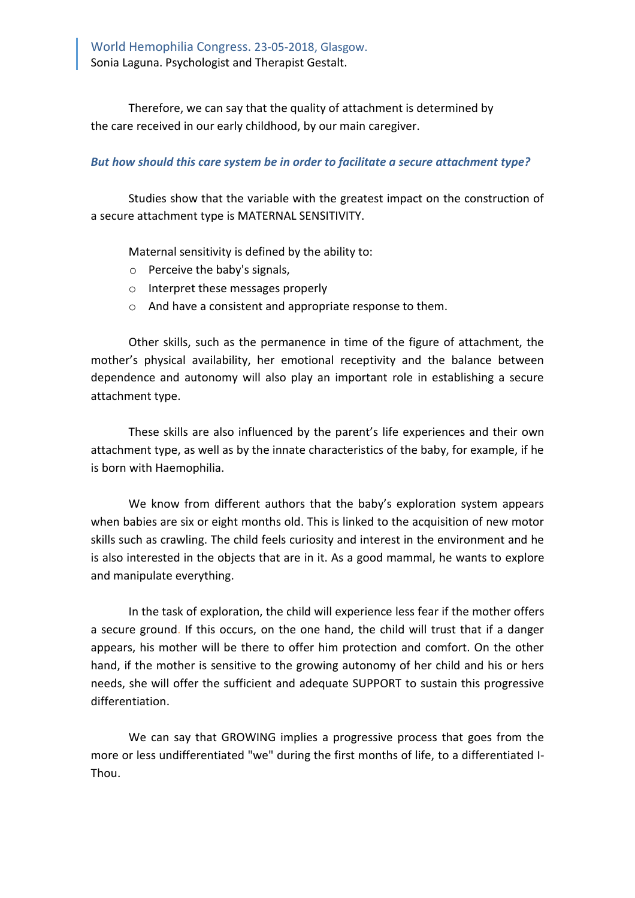Therefore, we can say that the quality of attachment is determined by the care received in our early childhood, by our main caregiver.

## *But how should this care system be in order to facilitate a secure attachment type?*

Studies show that the variable with the greatest impact on the construction of a secure attachment type is MATERNAL SENSITIVITY.

Maternal sensitivity is defined by the ability to:

- o Perceive the baby's signals,
- o Interpret these messages properly
- o And have a consistent and appropriate response to them.

Other skills, such as the permanence in time of the figure of attachment, the mother's physical availability, her emotional receptivity and the balance between dependence and autonomy will also play an important role in establishing a secure attachment type.

These skills are also influenced by the parent's life experiences and their own attachment type, as well as by the innate characteristics of the baby, for example, if he is born with Haemophilia.

We know from different authors that the baby's exploration system appears when babies are six or eight months old. This is linked to the acquisition of new motor skills such as crawling. The child feels curiosity and interest in the environment and he is also interested in the objects that are in it. As a good mammal, he wants to explore and manipulate everything.

In the task of exploration, the child will experience less fear if the mother offers a secure ground. If this occurs, on the one hand, the child will trust that if a danger appears, his mother will be there to offer him protection and comfort. On the other hand, if the mother is sensitive to the growing autonomy of her child and his or hers needs, she will offer the sufficient and adequate SUPPORT to sustain this progressive differentiation.

We can say that GROWING implies a progressive process that goes from the more or less undifferentiated "we" during the first months of life, to a differentiated I-Thou.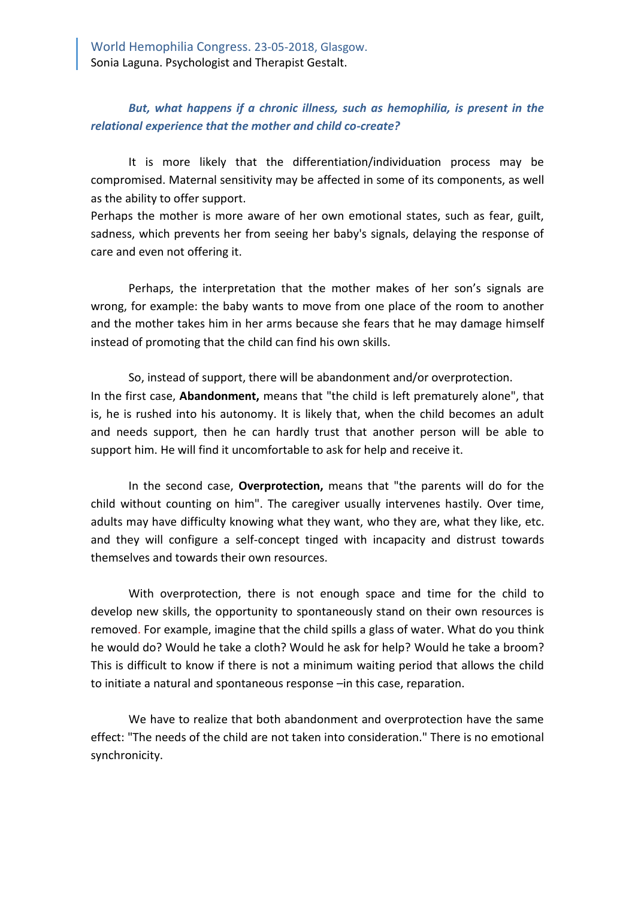## *But, what happens if a chronic illness, such as hemophilia, is present in the relational experience that the mother and child co-create?*

It is more likely that the differentiation/individuation process may be compromised. Maternal sensitivity may be affected in some of its components, as well as the ability to offer support.

Perhaps the mother is more aware of her own emotional states, such as fear, guilt, sadness, which prevents her from seeing her baby's signals, delaying the response of care and even not offering it.

Perhaps, the interpretation that the mother makes of her son's signals are wrong, for example: the baby wants to move from one place of the room to another and the mother takes him in her arms because she fears that he may damage himself instead of promoting that the child can find his own skills.

So, instead of support, there will be abandonment and/or overprotection. In the first case, **Abandonment,** means that "the child is left prematurely alone", that is, he is rushed into his autonomy. It is likely that, when the child becomes an adult and needs support, then he can hardly trust that another person will be able to support him. He will find it uncomfortable to ask for help and receive it.

In the second case, **Overprotection,** means that "the parents will do for the child without counting on him". The caregiver usually intervenes hastily. Over time, adults may have difficulty knowing what they want, who they are, what they like, etc. and they will configure a self-concept tinged with incapacity and distrust towards themselves and towards their own resources.

With overprotection, there is not enough space and time for the child to develop new skills, the opportunity to spontaneously stand on their own resources is removed. For example, imagine that the child spills a glass of water. What do you think he would do? Would he take a cloth? Would he ask for help? Would he take a broom? This is difficult to know if there is not a minimum waiting period that allows the child to initiate a natural and spontaneous response –in this case, reparation.

We have to realize that both abandonment and overprotection have the same effect: "The needs of the child are not taken into consideration." There is no emotional synchronicity.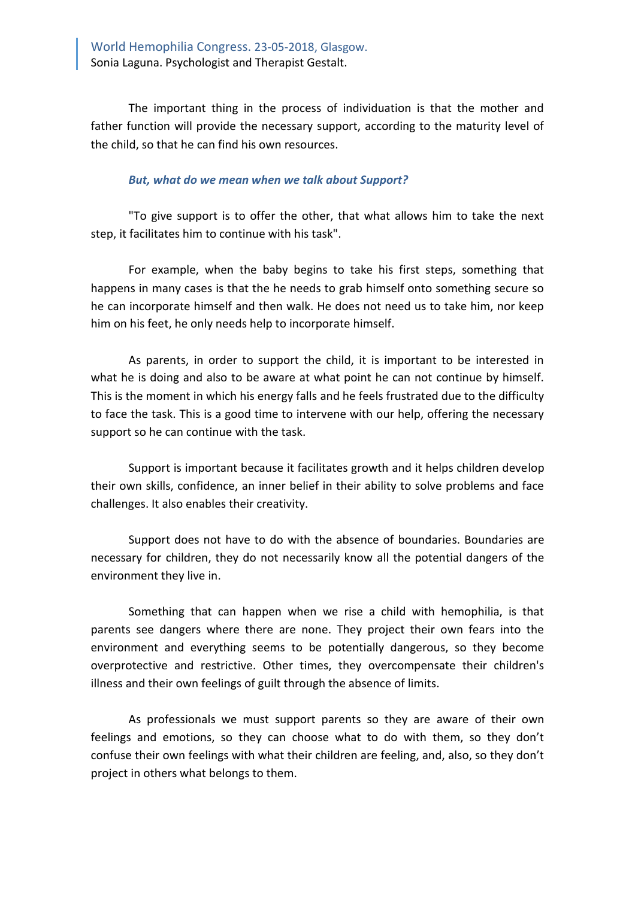The important thing in the process of individuation is that the mother and father function will provide the necessary support, according to the maturity level of the child, so that he can find his own resources.

## *But, what do we mean when we talk about Support?*

"To give support is to offer the other, that what allows him to take the next step, it facilitates him to continue with his task".

For example, when the baby begins to take his first steps, something that happens in many cases is that the he needs to grab himself onto something secure so he can incorporate himself and then walk. He does not need us to take him, nor keep him on his feet, he only needs help to incorporate himself.

As parents, in order to support the child, it is important to be interested in what he is doing and also to be aware at what point he can not continue by himself. This is the moment in which his energy falls and he feels frustrated due to the difficulty to face the task. This is a good time to intervene with our help, offering the necessary support so he can continue with the task.

Support is important because it facilitates growth and it helps children develop their own skills, confidence, an inner belief in their ability to solve problems and face challenges. It also enables their creativity.

Support does not have to do with the absence of boundaries. Boundaries are necessary for children, they do not necessarily know all the potential dangers of the environment they live in.

Something that can happen when we rise a child with hemophilia, is that parents see dangers where there are none. They project their own fears into the environment and everything seems to be potentially dangerous, so they become overprotective and restrictive. Other times, they overcompensate their children's illness and their own feelings of guilt through the absence of limits.

As professionals we must support parents so they are aware of their own feelings and emotions, so they can choose what to do with them, so they don't confuse their own feelings with what their children are feeling, and, also, so they don't project in others what belongs to them.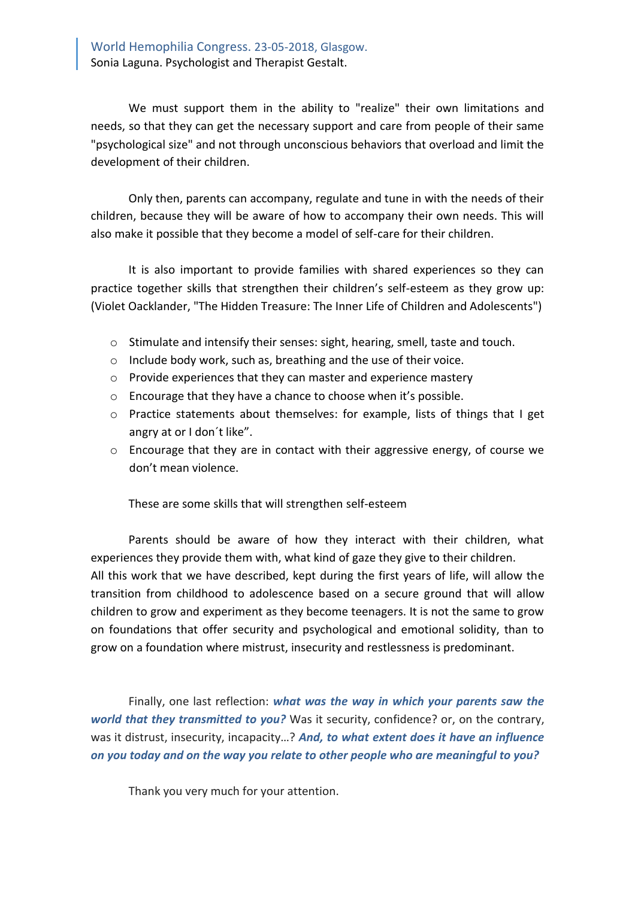We must support them in the ability to "realize" their own limitations and needs, so that they can get the necessary support and care from people of their same "psychological size" and not through unconscious behaviors that overload and limit the development of their children.

Only then, parents can accompany, regulate and tune in with the needs of their children, because they will be aware of how to accompany their own needs. This will also make it possible that they become a model of self-care for their children.

It is also important to provide families with shared experiences so they can practice together skills that strengthen their children's self-esteem as they grow up: (Violet Oacklander, "The Hidden Treasure: The Inner Life of Children and Adolescents")

- o Stimulate and intensify their senses: sight, hearing, smell, taste and touch.
- o Include body work, such as, breathing and the use of their voice.
- o Provide experiences that they can master and experience mastery
- o Encourage that they have a chance to choose when it's possible.
- o Practice statements about themselves: for example, lists of things that I get angry at or I don´t like".
- o Encourage that they are in contact with their aggressive energy, of course we don't mean violence.

These are some skills that will strengthen self-esteem

Parents should be aware of how they interact with their children, what experiences they provide them with, what kind of gaze they give to their children. All this work that we have described, kept during the first years of life, will allow the transition from childhood to adolescence based on a secure ground that will allow children to grow and experiment as they become teenagers. It is not the same to grow on foundations that offer security and psychological and emotional solidity, than to grow on a foundation where mistrust, insecurity and restlessness is predominant.

Finally, one last reflection: *what was the way in which your parents saw the world that they transmitted to you?* Was it security, confidence? or, on the contrary, was it distrust, insecurity, incapacity…? *And, to what extent does it have an influence on you today and on the way you relate to other people who are meaningful to you?*

Thank you very much for your attention.